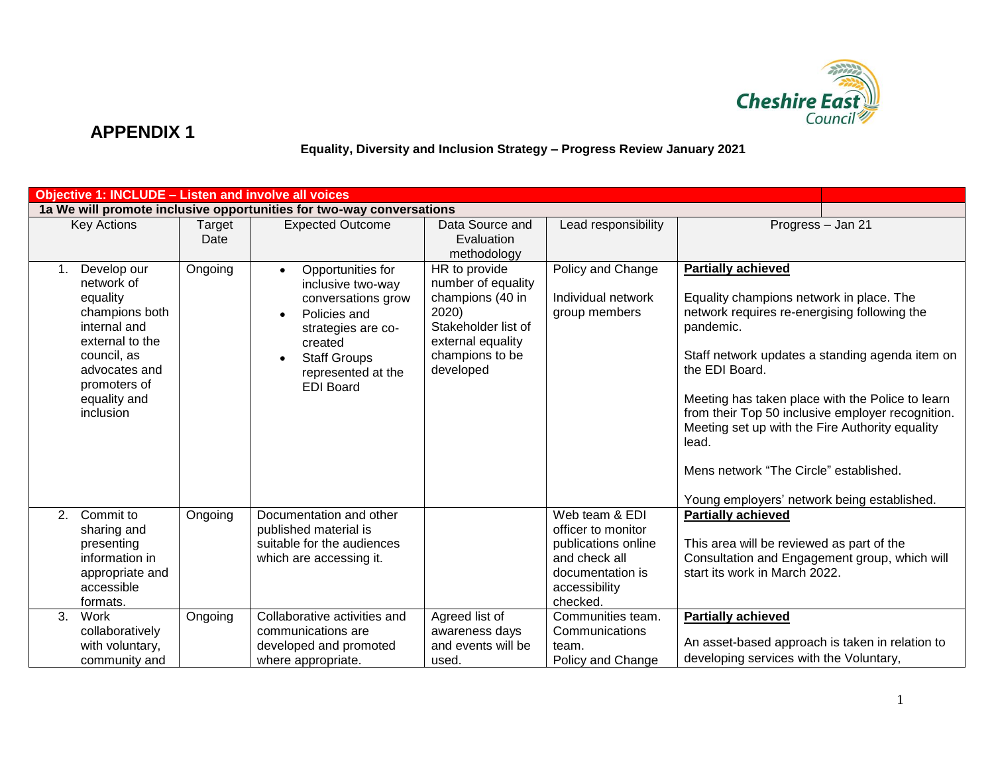

 **Equality, Diversity and Inclusion Strategy – Progress Review January 2021**

|    |                                                                                                                                                                         |                | <b>Objective 1: INCLUDE - Listen and involve all voices</b>                                                                                                                                 |                                                                                                                                              |                                                                                                                   |                                                                                                                                                                                                                                                                                                                                                                                                                                                                       |  |
|----|-------------------------------------------------------------------------------------------------------------------------------------------------------------------------|----------------|---------------------------------------------------------------------------------------------------------------------------------------------------------------------------------------------|----------------------------------------------------------------------------------------------------------------------------------------------|-------------------------------------------------------------------------------------------------------------------|-----------------------------------------------------------------------------------------------------------------------------------------------------------------------------------------------------------------------------------------------------------------------------------------------------------------------------------------------------------------------------------------------------------------------------------------------------------------------|--|
|    |                                                                                                                                                                         |                | 1a We will promote inclusive opportunities for two-way conversations                                                                                                                        |                                                                                                                                              |                                                                                                                   |                                                                                                                                                                                                                                                                                                                                                                                                                                                                       |  |
|    | <b>Key Actions</b>                                                                                                                                                      | Target<br>Date | <b>Expected Outcome</b>                                                                                                                                                                     | Data Source and<br>Evaluation<br>methodology                                                                                                 | Lead responsibility                                                                                               | Progress - Jan 21                                                                                                                                                                                                                                                                                                                                                                                                                                                     |  |
| 1. | Develop our<br>network of<br>equality<br>champions both<br>internal and<br>external to the<br>council, as<br>advocates and<br>promoters of<br>equality and<br>inclusion | Ongoing        | Opportunities for<br>$\bullet$<br>inclusive two-way<br>conversations grow<br>Policies and<br>strategies are co-<br>created<br><b>Staff Groups</b><br>represented at the<br><b>EDI Board</b> | HR to provide<br>number of equality<br>champions (40 in<br>2020)<br>Stakeholder list of<br>external equality<br>champions to be<br>developed | Policy and Change<br>Individual network<br>group members                                                          | <b>Partially achieved</b><br>Equality champions network in place. The<br>network requires re-energising following the<br>pandemic.<br>Staff network updates a standing agenda item on<br>the EDI Board.<br>Meeting has taken place with the Police to learn<br>from their Top 50 inclusive employer recognition.<br>Meeting set up with the Fire Authority equality<br>lead.<br>Mens network "The Circle" established.<br>Young employers' network being established. |  |
| 2. | Commit to<br>sharing and<br>presenting<br>information in<br>appropriate and<br>accessible                                                                               | Ongoing        | Documentation and other<br>published material is<br>suitable for the audiences<br>which are accessing it.                                                                                   |                                                                                                                                              | Web team & EDI<br>officer to monitor<br>publications online<br>and check all<br>documentation is<br>accessibility | <b>Partially achieved</b><br>This area will be reviewed as part of the<br>Consultation and Engagement group, which will<br>start its work in March 2022.                                                                                                                                                                                                                                                                                                              |  |
|    | formats.                                                                                                                                                                |                |                                                                                                                                                                                             |                                                                                                                                              | checked.                                                                                                          |                                                                                                                                                                                                                                                                                                                                                                                                                                                                       |  |
| 3. | Work<br>collaboratively<br>with voluntary,<br>community and                                                                                                             | Ongoing        | Collaborative activities and<br>communications are<br>developed and promoted<br>where appropriate.                                                                                          | Agreed list of<br>awareness days<br>and events will be<br>used.                                                                              | Communities team.<br>Communications<br>team.<br>Policy and Change                                                 | <b>Partially achieved</b><br>An asset-based approach is taken in relation to<br>developing services with the Voluntary,                                                                                                                                                                                                                                                                                                                                               |  |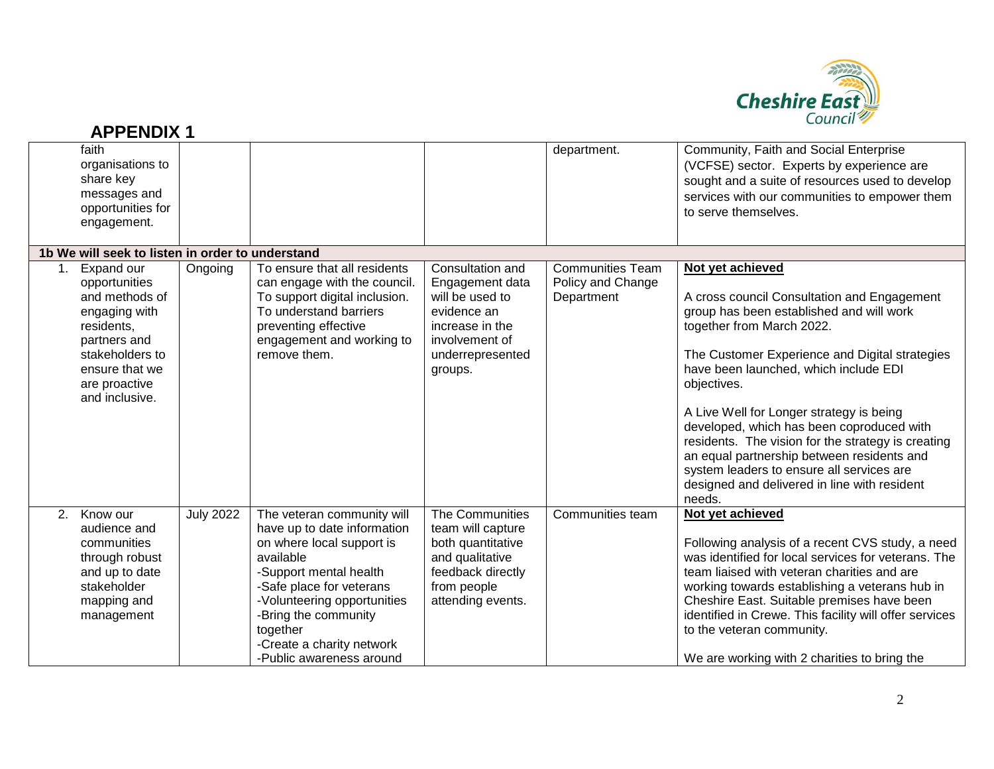

|    | <b>APPENDIX1</b>                                                                                                                                                     |                  |                                                                                                                                                                                                                                                                                       |                                                                                                                                           |                                                            | Cognon 2                                                                                                                                                                                                                                                                                                                                                                                                                                                                                                                                               |
|----|----------------------------------------------------------------------------------------------------------------------------------------------------------------------|------------------|---------------------------------------------------------------------------------------------------------------------------------------------------------------------------------------------------------------------------------------------------------------------------------------|-------------------------------------------------------------------------------------------------------------------------------------------|------------------------------------------------------------|--------------------------------------------------------------------------------------------------------------------------------------------------------------------------------------------------------------------------------------------------------------------------------------------------------------------------------------------------------------------------------------------------------------------------------------------------------------------------------------------------------------------------------------------------------|
|    | faith<br>organisations to<br>share key<br>messages and<br>opportunities for<br>engagement.                                                                           |                  |                                                                                                                                                                                                                                                                                       |                                                                                                                                           | department.                                                | Community, Faith and Social Enterprise<br>(VCFSE) sector. Experts by experience are<br>sought and a suite of resources used to develop<br>services with our communities to empower them<br>to serve themselves.                                                                                                                                                                                                                                                                                                                                        |
|    | 1b We will seek to listen in order to understand                                                                                                                     |                  |                                                                                                                                                                                                                                                                                       |                                                                                                                                           |                                                            |                                                                                                                                                                                                                                                                                                                                                                                                                                                                                                                                                        |
| 1. | Expand our<br>opportunities<br>and methods of<br>engaging with<br>residents,<br>partners and<br>stakeholders to<br>ensure that we<br>are proactive<br>and inclusive. | Ongoing          | To ensure that all residents<br>can engage with the council.<br>To support digital inclusion.<br>To understand barriers<br>preventing effective<br>engagement and working to<br>remove them.                                                                                          | Consultation and<br>Engagement data<br>will be used to<br>evidence an<br>increase in the<br>involvement of<br>underrepresented<br>groups. | <b>Communities Team</b><br>Policy and Change<br>Department | Not yet achieved<br>A cross council Consultation and Engagement<br>group has been established and will work<br>together from March 2022.<br>The Customer Experience and Digital strategies<br>have been launched, which include EDI<br>objectives.<br>A Live Well for Longer strategy is being<br>developed, which has been coproduced with<br>residents. The vision for the strategy is creating<br>an equal partnership between residents and<br>system leaders to ensure all services are<br>designed and delivered in line with resident<br>needs. |
| 2. | Know our<br>audience and<br>communities<br>through robust<br>and up to date<br>stakeholder<br>mapping and<br>management                                              | <b>July 2022</b> | The veteran community will<br>have up to date information<br>on where local support is<br>available<br>-Support mental health<br>-Safe place for veterans<br>-Volunteering opportunities<br>-Bring the community<br>together<br>-Create a charity network<br>-Public awareness around | The Communities<br>team will capture<br>both quantitative<br>and qualitative<br>feedback directly<br>from people<br>attending events.     | Communities team                                           | Not yet achieved<br>Following analysis of a recent CVS study, a need<br>was identified for local services for veterans. The<br>team liaised with veteran charities and are<br>working towards establishing a veterans hub in<br>Cheshire East. Suitable premises have been<br>identified in Crewe. This facility will offer services<br>to the veteran community.<br>We are working with 2 charities to bring the                                                                                                                                      |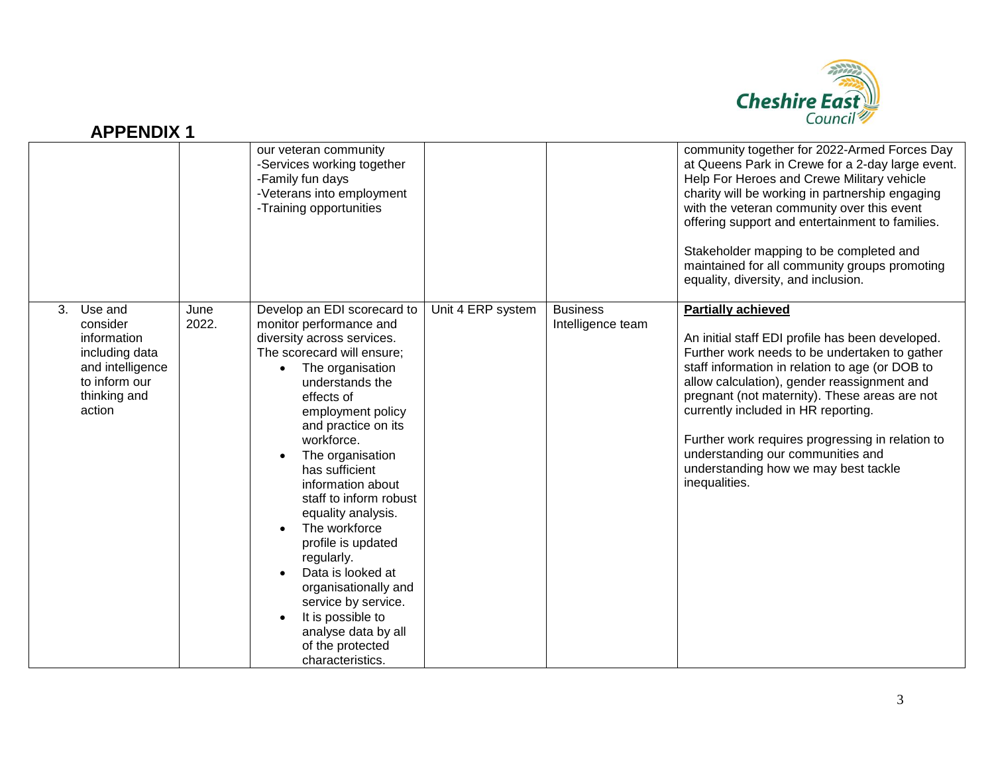

|    |                                                                                                                     |               | our veteran community<br>-Services working together<br>-Family fun days<br>-Veterans into employment<br>-Training opportunities                                                                                                                                                                                                                                                                                                                                                                                                                                        |                   |                                      | community together for 2022-Armed Forces Day<br>at Queens Park in Crewe for a 2-day large event.<br>Help For Heroes and Crewe Military vehicle<br>charity will be working in partnership engaging<br>with the veteran community over this event<br>offering support and entertainment to families.<br>Stakeholder mapping to be completed and<br>maintained for all community groups promoting<br>equality, diversity, and inclusion.                                      |
|----|---------------------------------------------------------------------------------------------------------------------|---------------|------------------------------------------------------------------------------------------------------------------------------------------------------------------------------------------------------------------------------------------------------------------------------------------------------------------------------------------------------------------------------------------------------------------------------------------------------------------------------------------------------------------------------------------------------------------------|-------------------|--------------------------------------|----------------------------------------------------------------------------------------------------------------------------------------------------------------------------------------------------------------------------------------------------------------------------------------------------------------------------------------------------------------------------------------------------------------------------------------------------------------------------|
| 3. | Use and<br>consider<br>information<br>including data<br>and intelligence<br>to inform our<br>thinking and<br>action | June<br>2022. | Develop an EDI scorecard to<br>monitor performance and<br>diversity across services.<br>The scorecard will ensure;<br>The organisation<br>$\bullet$<br>understands the<br>effects of<br>employment policy<br>and practice on its<br>workforce.<br>The organisation<br>has sufficient<br>information about<br>staff to inform robust<br>equality analysis.<br>The workforce<br>profile is updated<br>regularly.<br>Data is looked at<br>organisationally and<br>service by service.<br>It is possible to<br>analyse data by all<br>of the protected<br>characteristics. | Unit 4 ERP system | <b>Business</b><br>Intelligence team | <b>Partially achieved</b><br>An initial staff EDI profile has been developed.<br>Further work needs to be undertaken to gather<br>staff information in relation to age (or DOB to<br>allow calculation), gender reassignment and<br>pregnant (not maternity). These areas are not<br>currently included in HR reporting.<br>Further work requires progressing in relation to<br>understanding our communities and<br>understanding how we may best tackle<br>inequalities. |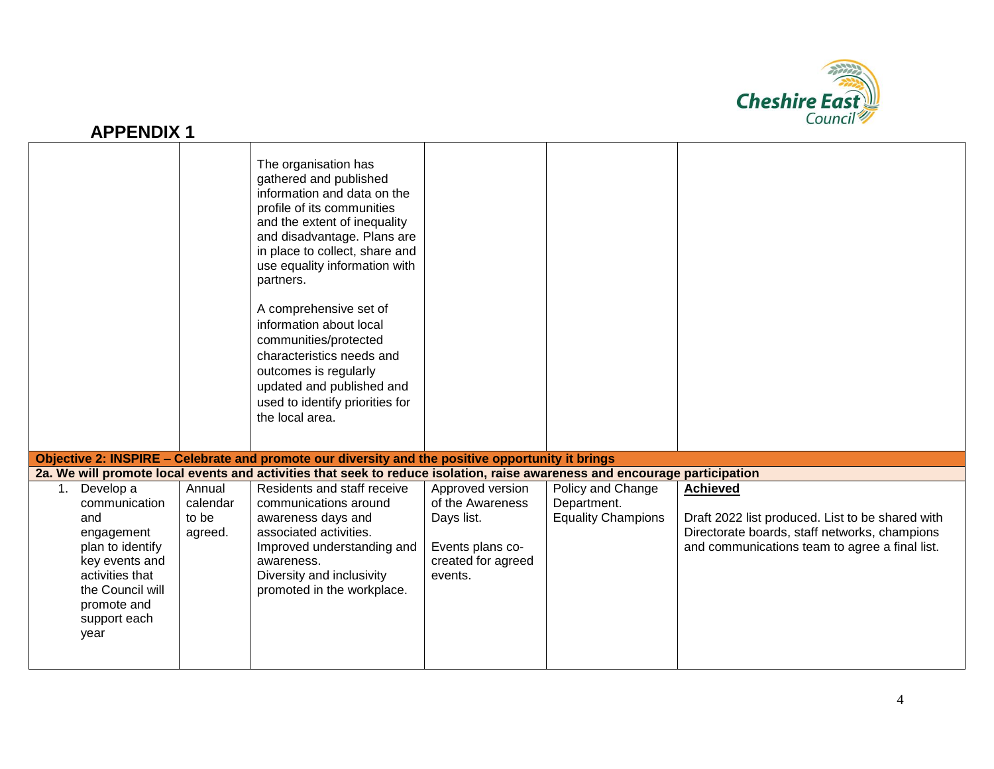

|                                                                                                                                                                           |                                        | The organisation has<br>gathered and published<br>information and data on the<br>profile of its communities<br>and the extent of inequality<br>and disadvantage. Plans are<br>in place to collect, share and<br>use equality information with<br>partners.<br>A comprehensive set of<br>information about local<br>communities/protected<br>characteristics needs and<br>outcomes is regularly<br>updated and published and<br>used to identify priorities for<br>the local area. |                                                                                                         |                                                               |                                                                                                                                                                        |
|---------------------------------------------------------------------------------------------------------------------------------------------------------------------------|----------------------------------------|-----------------------------------------------------------------------------------------------------------------------------------------------------------------------------------------------------------------------------------------------------------------------------------------------------------------------------------------------------------------------------------------------------------------------------------------------------------------------------------|---------------------------------------------------------------------------------------------------------|---------------------------------------------------------------|------------------------------------------------------------------------------------------------------------------------------------------------------------------------|
|                                                                                                                                                                           |                                        | Objective 2: INSPIRE - Celebrate and promote our diversity and the positive opportunity it brings                                                                                                                                                                                                                                                                                                                                                                                 |                                                                                                         |                                                               |                                                                                                                                                                        |
|                                                                                                                                                                           |                                        | 2a. We will promote local events and activities that seek to reduce isolation, raise awareness and encourage participation                                                                                                                                                                                                                                                                                                                                                        |                                                                                                         |                                                               |                                                                                                                                                                        |
| Develop a<br>1.<br>communication<br>and<br>engagement<br>plan to identify<br>key events and<br>activities that<br>the Council will<br>promote and<br>support each<br>year | Annual<br>calendar<br>to be<br>agreed. | Residents and staff receive<br>communications around<br>awareness days and<br>associated activities.<br>Improved understanding and<br>awareness.<br>Diversity and inclusivity<br>promoted in the workplace.                                                                                                                                                                                                                                                                       | Approved version<br>of the Awareness<br>Days list.<br>Events plans co-<br>created for agreed<br>events. | Policy and Change<br>Department.<br><b>Equality Champions</b> | <b>Achieved</b><br>Draft 2022 list produced. List to be shared with<br>Directorate boards, staff networks, champions<br>and communications team to agree a final list. |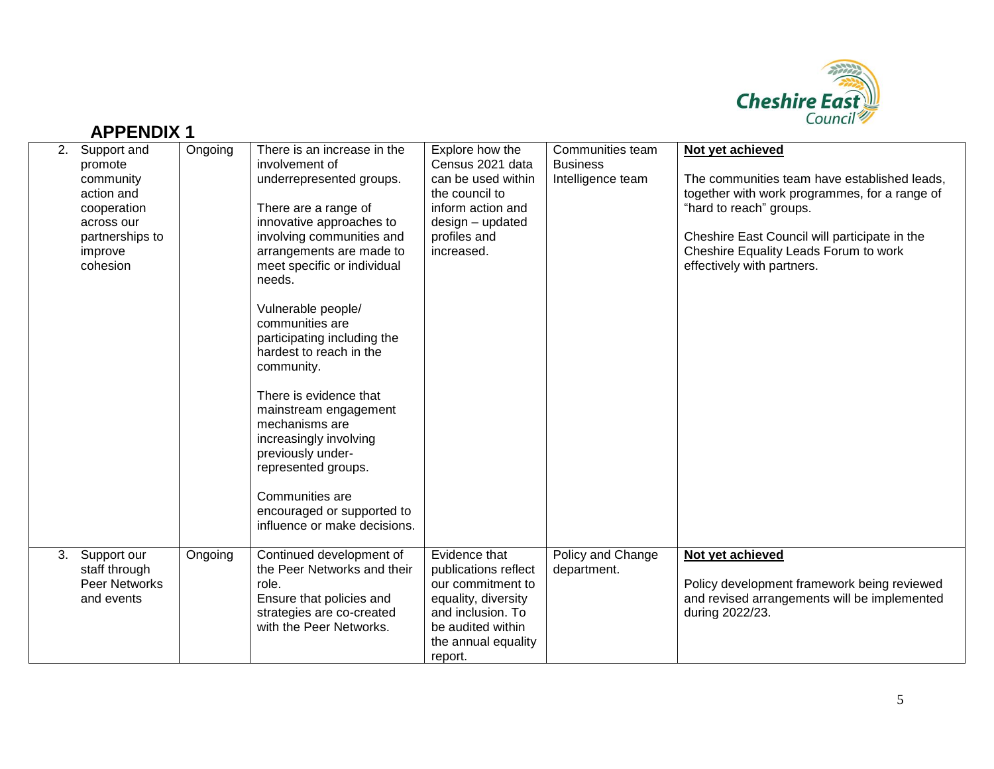

|    | 2. Support and<br>promote<br>community<br>action and<br>cooperation<br>across our<br>partnerships to<br>improve<br>cohesion | Ongoing | There is an increase in the<br>involvement of<br>underrepresented groups.<br>There are a range of<br>innovative approaches to<br>involving communities and<br>arrangements are made to<br>meet specific or individual<br>needs.<br>Vulnerable people/<br>communities are<br>participating including the<br>hardest to reach in the<br>community.<br>There is evidence that<br>mainstream engagement<br>mechanisms are<br>increasingly involving<br>previously under-<br>represented groups.<br>Communities are<br>encouraged or supported to<br>influence or make decisions. | Explore how the<br>Census 2021 data<br>can be used within<br>the council to<br>inform action and<br>design - updated<br>profiles and<br>increased.            | Communities team<br><b>Business</b><br>Intelligence team | Not yet achieved<br>The communities team have established leads,<br>together with work programmes, for a range of<br>"hard to reach" groups.<br>Cheshire East Council will participate in the<br>Cheshire Equality Leads Forum to work<br>effectively with partners. |
|----|-----------------------------------------------------------------------------------------------------------------------------|---------|------------------------------------------------------------------------------------------------------------------------------------------------------------------------------------------------------------------------------------------------------------------------------------------------------------------------------------------------------------------------------------------------------------------------------------------------------------------------------------------------------------------------------------------------------------------------------|---------------------------------------------------------------------------------------------------------------------------------------------------------------|----------------------------------------------------------|----------------------------------------------------------------------------------------------------------------------------------------------------------------------------------------------------------------------------------------------------------------------|
| 3. | Support our<br>staff through<br><b>Peer Networks</b><br>and events                                                          | Ongoing | Continued development of<br>the Peer Networks and their<br>role.<br>Ensure that policies and<br>strategies are co-created<br>with the Peer Networks.                                                                                                                                                                                                                                                                                                                                                                                                                         | Evidence that<br>publications reflect<br>our commitment to<br>equality, diversity<br>and inclusion. To<br>be audited within<br>the annual equality<br>report. | Policy and Change<br>department.                         | Not yet achieved<br>Policy development framework being reviewed<br>and revised arrangements will be implemented<br>during 2022/23.                                                                                                                                   |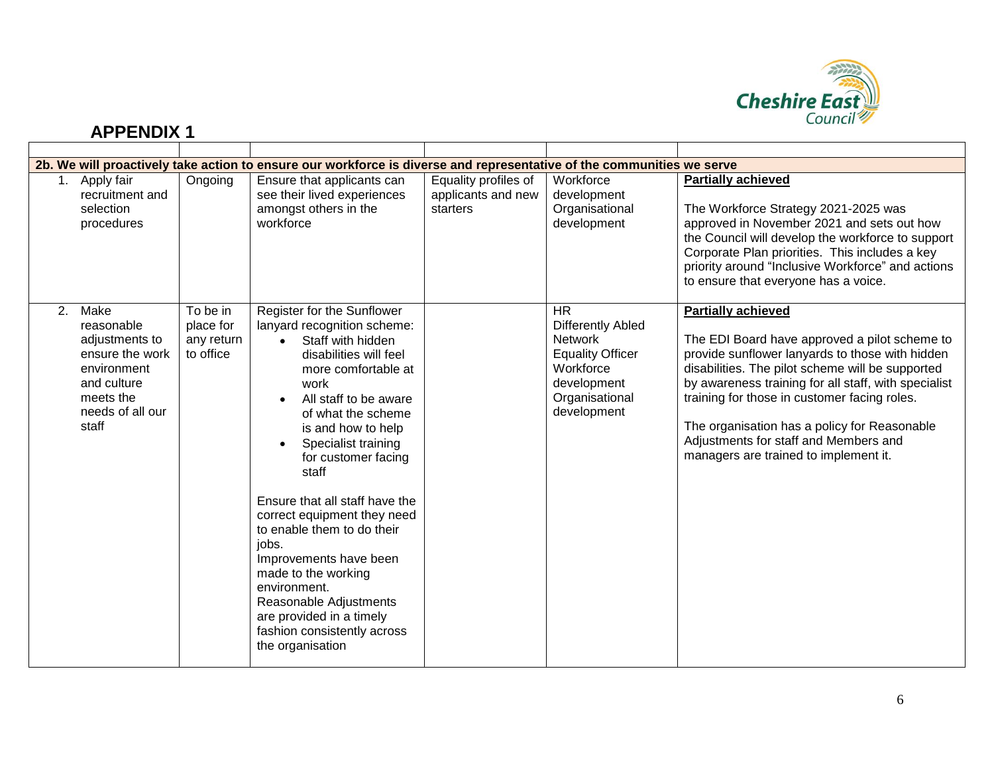

|    |                                                                                                                                 |                                                  | 2b. We will proactively take action to ensure our workforce is diverse and representative of the communities we serve                                                                                                                                                                                                                                                                                                                                                                                                                                                           |                                                        |                                                                                                                                                 |                                                                                                                                                                                                                                                                                                                                                                                                                             |
|----|---------------------------------------------------------------------------------------------------------------------------------|--------------------------------------------------|---------------------------------------------------------------------------------------------------------------------------------------------------------------------------------------------------------------------------------------------------------------------------------------------------------------------------------------------------------------------------------------------------------------------------------------------------------------------------------------------------------------------------------------------------------------------------------|--------------------------------------------------------|-------------------------------------------------------------------------------------------------------------------------------------------------|-----------------------------------------------------------------------------------------------------------------------------------------------------------------------------------------------------------------------------------------------------------------------------------------------------------------------------------------------------------------------------------------------------------------------------|
|    | 1. Apply fair<br>recruitment and<br>selection<br>procedures                                                                     | Ongoing                                          | Ensure that applicants can<br>see their lived experiences<br>amongst others in the<br>workforce                                                                                                                                                                                                                                                                                                                                                                                                                                                                                 | Equality profiles of<br>applicants and new<br>starters | Workforce<br>development<br>Organisational<br>development                                                                                       | <b>Partially achieved</b><br>The Workforce Strategy 2021-2025 was<br>approved in November 2021 and sets out how<br>the Council will develop the workforce to support<br>Corporate Plan priorities. This includes a key<br>priority around "Inclusive Workforce" and actions<br>to ensure that everyone has a voice.                                                                                                         |
| 2. | Make<br>reasonable<br>adjustments to<br>ensure the work<br>environment<br>and culture<br>meets the<br>needs of all our<br>staff | To be in<br>place for<br>any return<br>to office | Register for the Sunflower<br>lanyard recognition scheme:<br>Staff with hidden<br>$\bullet$<br>disabilities will feel<br>more comfortable at<br>work<br>All staff to be aware<br>$\bullet$<br>of what the scheme<br>is and how to help<br>Specialist training<br>for customer facing<br>staff<br>Ensure that all staff have the<br>correct equipment they need<br>to enable them to do their<br>iobs.<br>Improvements have been<br>made to the working<br>environment.<br>Reasonable Adjustments<br>are provided in a timely<br>fashion consistently across<br>the organisation |                                                        | <b>HR</b><br><b>Differently Abled</b><br><b>Network</b><br><b>Equality Officer</b><br>Workforce<br>development<br>Organisational<br>development | <b>Partially achieved</b><br>The EDI Board have approved a pilot scheme to<br>provide sunflower lanyards to those with hidden<br>disabilities. The pilot scheme will be supported<br>by awareness training for all staff, with specialist<br>training for those in customer facing roles.<br>The organisation has a policy for Reasonable<br>Adjustments for staff and Members and<br>managers are trained to implement it. |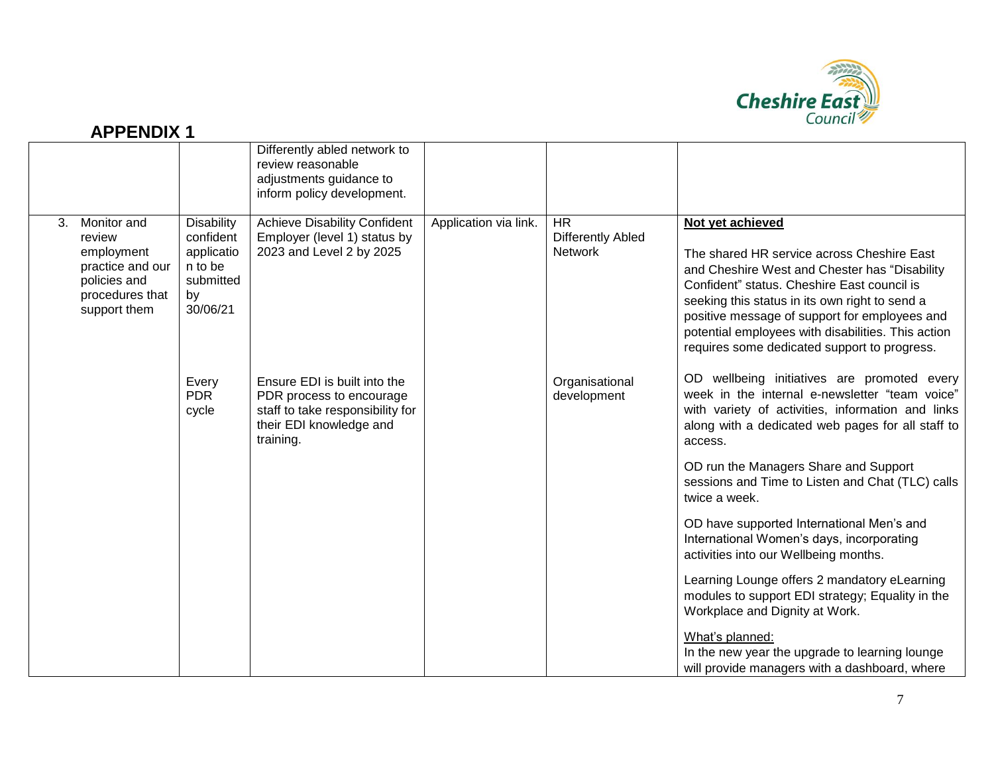

#### Differently abled network to review reasonable adjustments guidance to inform policy development. 3. Monitor and review employment practice and our policies and procedures that support them **Disability** confident applicatio n to be submitted by 30/06/21 Every PDR cycle Achieve Disability Confident Employer (level 1) status by 2023 and Level 2 by 2025 Ensure EDI is built into the PDR process to encourage staff to take responsibility for their EDI knowledge and training. Application via link. | HR Differently Abled **Network Organisational** development **Not yet achieved** The shared HR service across Cheshire East and Cheshire West and Chester has "Disability Confident" status. Cheshire East council is seeking this status in its own right to send a positive message of support for employees and potential employees with disabilities. This action requires some dedicated support to progress. OD wellbeing initiatives are promoted every week in the internal e-newsletter "team voice" with variety of activities, information and links along with a dedicated web pages for all staff to access. OD run the Managers Share and Support sessions and Time to Listen and Chat (TLC) calls twice a week. OD have supported International Men's and International Women's days, incorporating activities into our Wellbeing months. Learning Lounge offers 2 mandatory eLearning modules to support EDI strategy; Equality in the Workplace and Dignity at Work. What's planned: In the new year the upgrade to learning lounge will provide managers with a dashboard, where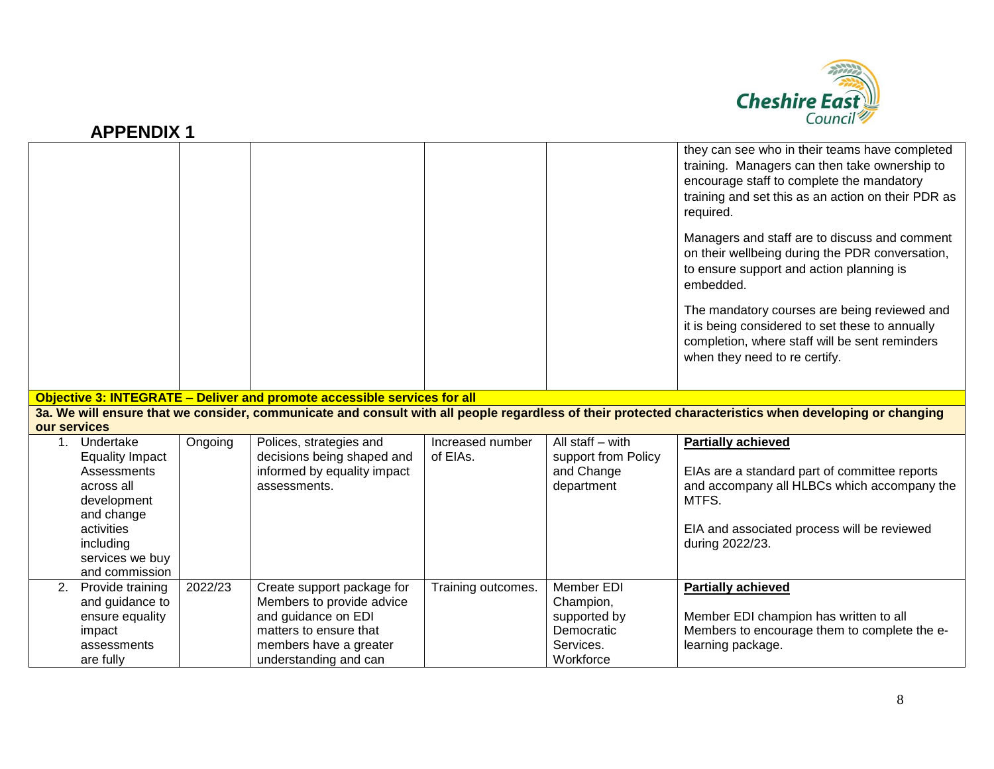

| <b>APPENDIX 1</b> |  |
|-------------------|--|
|-------------------|--|

|                         |                                                                    |         |                                                                           |                    |                                                 | they can see who in their teams have completed<br>training. Managers can then take ownership to<br>encourage staff to complete the mandatory<br>training and set this as an action on their PDR as<br>required. |
|-------------------------|--------------------------------------------------------------------|---------|---------------------------------------------------------------------------|--------------------|-------------------------------------------------|-----------------------------------------------------------------------------------------------------------------------------------------------------------------------------------------------------------------|
|                         |                                                                    |         |                                                                           |                    |                                                 | Managers and staff are to discuss and comment<br>on their wellbeing during the PDR conversation,<br>to ensure support and action planning is<br>embedded.                                                       |
|                         |                                                                    |         |                                                                           |                    |                                                 | The mandatory courses are being reviewed and<br>it is being considered to set these to annually<br>completion, where staff will be sent reminders<br>when they need to re certify.                              |
|                         |                                                                    |         | Objective 3: INTEGRATE - Deliver and promote accessible services for all  |                    |                                                 |                                                                                                                                                                                                                 |
|                         |                                                                    |         |                                                                           |                    |                                                 |                                                                                                                                                                                                                 |
|                         |                                                                    |         |                                                                           |                    |                                                 |                                                                                                                                                                                                                 |
|                         |                                                                    |         |                                                                           |                    |                                                 | 3a. We will ensure that we consider, communicate and consult with all people regardless of their protected characteristics when developing or changing                                                          |
| our services<br>$1_{-}$ | Undertake                                                          | Ongoing | Polices, strategies and                                                   | Increased number   | All staff $-$ with                              | <b>Partially achieved</b>                                                                                                                                                                                       |
|                         | <b>Equality Impact</b><br>Assessments<br>across all<br>development |         | decisions being shaped and<br>informed by equality impact<br>assessments. | of EIAs.           | support from Policy<br>and Change<br>department | EIAs are a standard part of committee reports<br>and accompany all HLBCs which accompany the<br>MTFS.                                                                                                           |
|                         | and change<br>activities<br>including                              |         |                                                                           |                    |                                                 | EIA and associated process will be reviewed<br>during 2022/23.                                                                                                                                                  |
|                         | services we buy                                                    |         |                                                                           |                    |                                                 |                                                                                                                                                                                                                 |
|                         | and commission                                                     |         |                                                                           |                    |                                                 |                                                                                                                                                                                                                 |
| 2.                      | Provide training                                                   | 2022/23 | Create support package for                                                | Training outcomes. | Member EDI                                      | <b>Partially achieved</b>                                                                                                                                                                                       |
|                         | and guidance to<br>ensure equality                                 |         | Members to provide advice<br>and guidance on EDI                          |                    | Champion,<br>supported by                       | Member EDI champion has written to all                                                                                                                                                                          |
|                         | impact                                                             |         | matters to ensure that                                                    |                    | Democratic                                      | Members to encourage them to complete the e-                                                                                                                                                                    |
|                         | assessments                                                        |         | members have a greater                                                    |                    | Services.                                       | learning package.                                                                                                                                                                                               |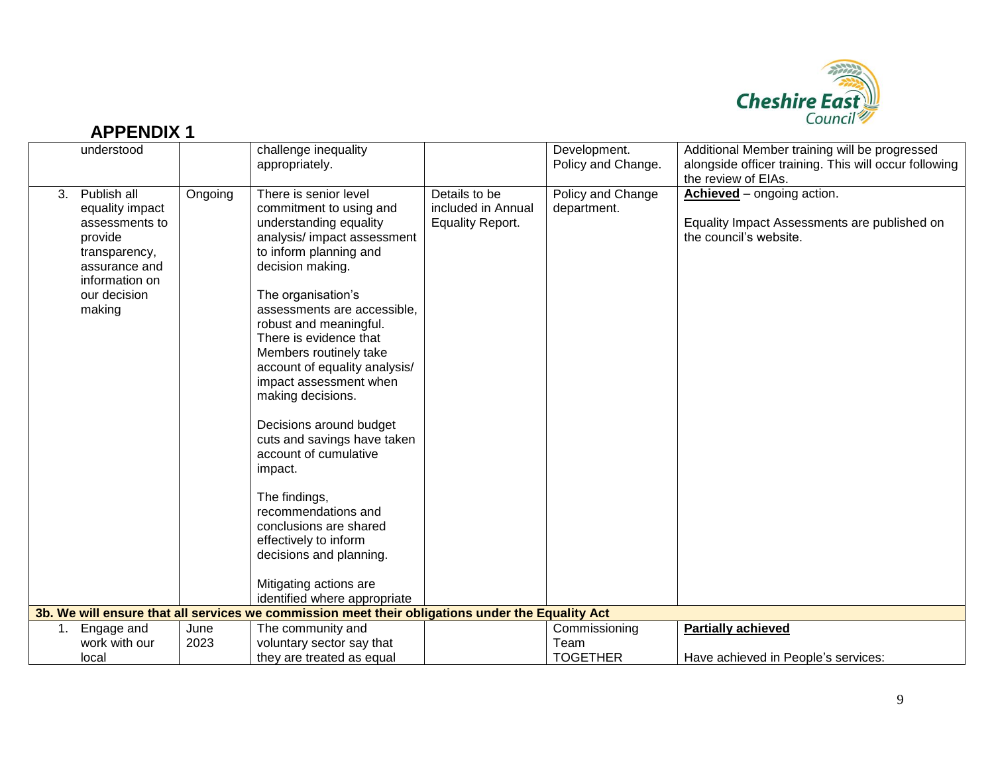

| <b>APPENDIX 1</b>                                                                                                                               |         |                                                                                                                                                                                                                                                                                                                                                                                                                                                                                                                                                                                                                                                                                                                                                              |                                                                |                                    | Cognon 2                                                                                                                      |
|-------------------------------------------------------------------------------------------------------------------------------------------------|---------|--------------------------------------------------------------------------------------------------------------------------------------------------------------------------------------------------------------------------------------------------------------------------------------------------------------------------------------------------------------------------------------------------------------------------------------------------------------------------------------------------------------------------------------------------------------------------------------------------------------------------------------------------------------------------------------------------------------------------------------------------------------|----------------------------------------------------------------|------------------------------------|-------------------------------------------------------------------------------------------------------------------------------|
| understood                                                                                                                                      |         | challenge inequality<br>appropriately.                                                                                                                                                                                                                                                                                                                                                                                                                                                                                                                                                                                                                                                                                                                       |                                                                | Development.<br>Policy and Change. | Additional Member training will be progressed<br>alongside officer training. This will occur following<br>the review of EIAs. |
| Publish all<br>3.<br>equality impact<br>assessments to<br>provide<br>transparency,<br>assurance and<br>information on<br>our decision<br>making | Ongoing | There is senior level<br>commitment to using and<br>understanding equality<br>analysis/ impact assessment<br>to inform planning and<br>decision making.<br>The organisation's<br>assessments are accessible,<br>robust and meaningful.<br>There is evidence that<br>Members routinely take<br>account of equality analysis/<br>impact assessment when<br>making decisions.<br>Decisions around budget<br>cuts and savings have taken<br>account of cumulative<br>impact.<br>The findings,<br>recommendations and<br>conclusions are shared<br>effectively to inform<br>decisions and planning.<br>Mitigating actions are<br>identified where appropriate<br>3b. We will ensure that all services we commission meet their obligations under the Equality Act | Details to be<br>included in Annual<br><b>Equality Report.</b> | Policy and Change<br>department.   | Achieved - ongoing action.<br>Equality Impact Assessments are published on<br>the council's website.                          |
|                                                                                                                                                 |         |                                                                                                                                                                                                                                                                                                                                                                                                                                                                                                                                                                                                                                                                                                                                                              |                                                                |                                    |                                                                                                                               |
| Engage and<br>1.                                                                                                                                | June    | The community and                                                                                                                                                                                                                                                                                                                                                                                                                                                                                                                                                                                                                                                                                                                                            |                                                                | Commissioning                      | <b>Partially achieved</b>                                                                                                     |
| work with our                                                                                                                                   | 2023    | voluntary sector say that                                                                                                                                                                                                                                                                                                                                                                                                                                                                                                                                                                                                                                                                                                                                    |                                                                | Team                               |                                                                                                                               |
| local                                                                                                                                           |         | they are treated as equal                                                                                                                                                                                                                                                                                                                                                                                                                                                                                                                                                                                                                                                                                                                                    |                                                                | <b>TOGETHER</b>                    | Have achieved in People's services:                                                                                           |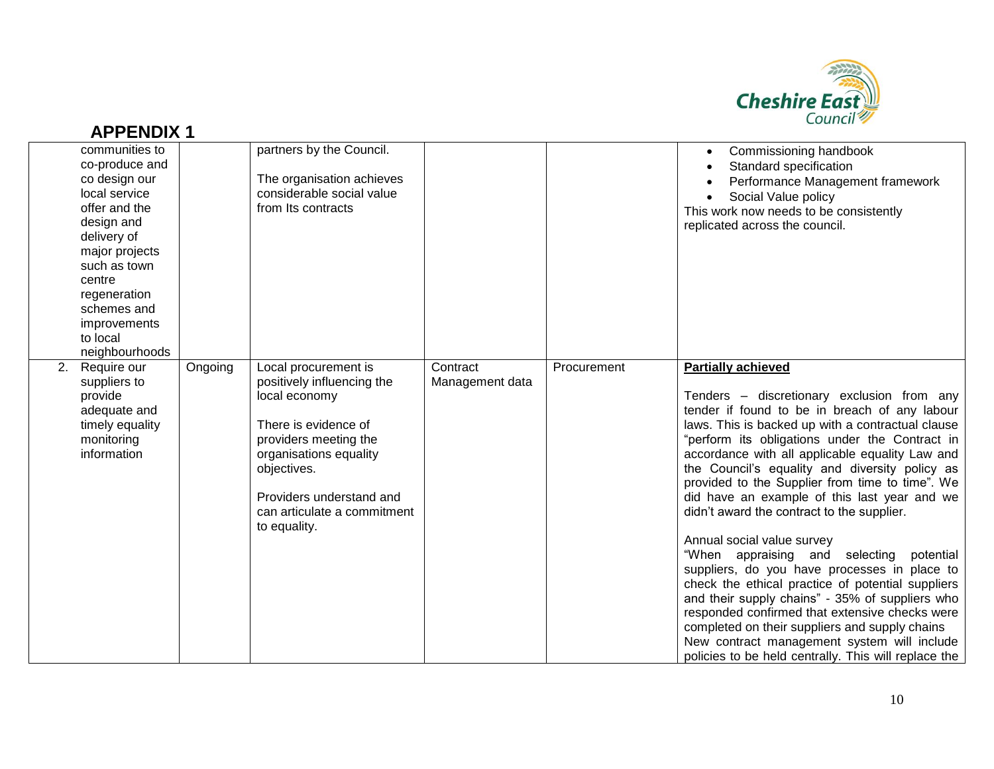

|    | communities to<br>co-produce and<br>co design our<br>local service<br>offer and the<br>design and<br>delivery of<br>major projects<br>such as town<br>centre<br>regeneration<br>schemes and<br>improvements<br>to local<br>neighbourhoods |         | partners by the Council.<br>The organisation achieves<br>considerable social value<br>from Its contracts                                                                                                                                 |                             |             | Commissioning handbook<br>Standard specification<br>Performance Management framework<br>Social Value policy<br>This work now needs to be consistently<br>replicated across the council.                                                                                                                                                                                                                                                                                                                                                                                                                                                                                                                                                                                                                                                                                                                                               |
|----|-------------------------------------------------------------------------------------------------------------------------------------------------------------------------------------------------------------------------------------------|---------|------------------------------------------------------------------------------------------------------------------------------------------------------------------------------------------------------------------------------------------|-----------------------------|-------------|---------------------------------------------------------------------------------------------------------------------------------------------------------------------------------------------------------------------------------------------------------------------------------------------------------------------------------------------------------------------------------------------------------------------------------------------------------------------------------------------------------------------------------------------------------------------------------------------------------------------------------------------------------------------------------------------------------------------------------------------------------------------------------------------------------------------------------------------------------------------------------------------------------------------------------------|
| 2. | Require our<br>suppliers to<br>provide<br>adequate and<br>timely equality<br>monitoring<br>information                                                                                                                                    | Ongoing | Local procurement is<br>positively influencing the<br>local economy<br>There is evidence of<br>providers meeting the<br>organisations equality<br>objectives.<br>Providers understand and<br>can articulate a commitment<br>to equality. | Contract<br>Management data | Procurement | <b>Partially achieved</b><br>Tenders - discretionary exclusion from any<br>tender if found to be in breach of any labour<br>laws. This is backed up with a contractual clause<br>"perform its obligations under the Contract in<br>accordance with all applicable equality Law and<br>the Council's equality and diversity policy as<br>provided to the Supplier from time to time". We<br>did have an example of this last year and we<br>didn't award the contract to the supplier.<br>Annual social value survey<br>"When appraising and selecting<br>potential<br>suppliers, do you have processes in place to<br>check the ethical practice of potential suppliers<br>and their supply chains" - 35% of suppliers who<br>responded confirmed that extensive checks were<br>completed on their suppliers and supply chains<br>New contract management system will include<br>policies to be held centrally. This will replace the |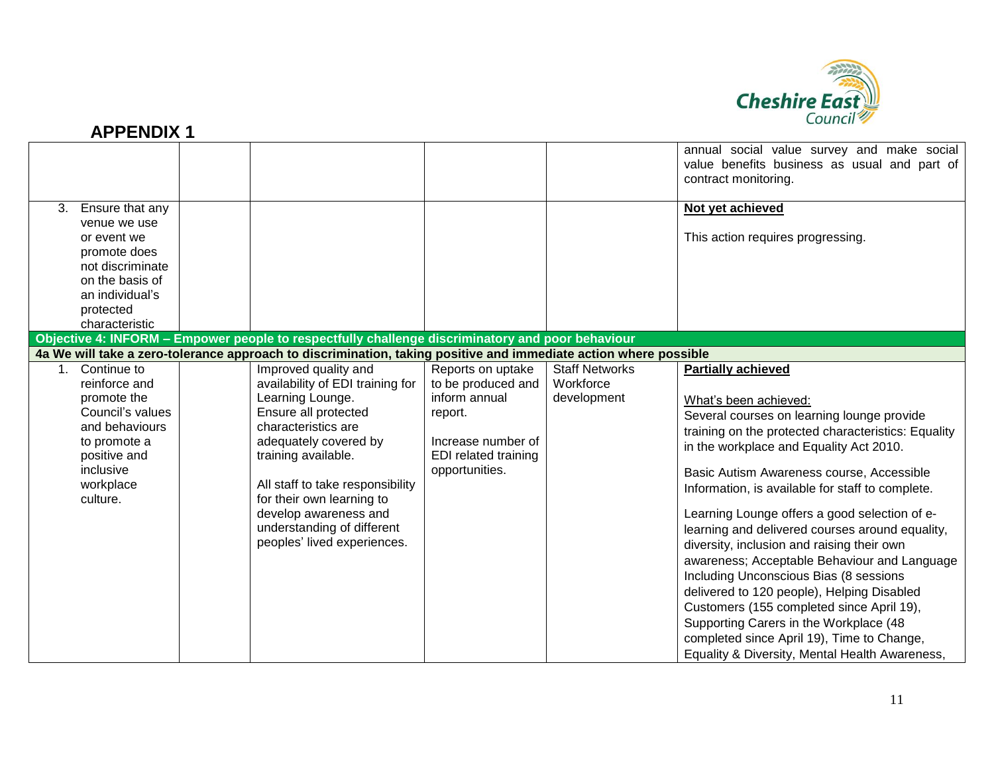

|    |                                                                                                                                                         |                                                                                                                                                                                                                                                                                                                                    |                                                                                                                                            |                                                   | annual social value survey and make social<br>value benefits business as usual and part of<br>contract monitoring.                                                                                                                                                                                                                                                                                                                                                                                                                                                                                                                                                                                                                                                                   |
|----|---------------------------------------------------------------------------------------------------------------------------------------------------------|------------------------------------------------------------------------------------------------------------------------------------------------------------------------------------------------------------------------------------------------------------------------------------------------------------------------------------|--------------------------------------------------------------------------------------------------------------------------------------------|---------------------------------------------------|--------------------------------------------------------------------------------------------------------------------------------------------------------------------------------------------------------------------------------------------------------------------------------------------------------------------------------------------------------------------------------------------------------------------------------------------------------------------------------------------------------------------------------------------------------------------------------------------------------------------------------------------------------------------------------------------------------------------------------------------------------------------------------------|
| 3. | Ensure that any<br>venue we use<br>or event we<br>promote does<br>not discriminate<br>on the basis of<br>an individual's<br>protected<br>characteristic |                                                                                                                                                                                                                                                                                                                                    |                                                                                                                                            |                                                   | Not yet achieved<br>This action requires progressing.                                                                                                                                                                                                                                                                                                                                                                                                                                                                                                                                                                                                                                                                                                                                |
|    |                                                                                                                                                         | Objective 4: INFORM – Empower people to respectfully challenge discriminatory and poor behaviour                                                                                                                                                                                                                                   |                                                                                                                                            |                                                   |                                                                                                                                                                                                                                                                                                                                                                                                                                                                                                                                                                                                                                                                                                                                                                                      |
|    |                                                                                                                                                         | 4a We will take a zero-tolerance approach to discrimination, taking positive and immediate action where possible                                                                                                                                                                                                                   |                                                                                                                                            |                                                   |                                                                                                                                                                                                                                                                                                                                                                                                                                                                                                                                                                                                                                                                                                                                                                                      |
|    | Continue to<br>reinforce and<br>promote the<br>Council's values<br>and behaviours<br>to promote a<br>positive and<br>inclusive<br>workplace<br>culture. | Improved quality and<br>availability of EDI training for<br>Learning Lounge.<br>Ensure all protected<br>characteristics are<br>adequately covered by<br>training available.<br>All staff to take responsibility<br>for their own learning to<br>develop awareness and<br>understanding of different<br>peoples' lived experiences. | Reports on uptake<br>to be produced and<br>inform annual<br>report.<br>Increase number of<br><b>EDI</b> related training<br>opportunities. | <b>Staff Networks</b><br>Workforce<br>development | <b>Partially achieved</b><br>What's been achieved:<br>Several courses on learning lounge provide<br>training on the protected characteristics: Equality<br>in the workplace and Equality Act 2010.<br>Basic Autism Awareness course, Accessible<br>Information, is available for staff to complete.<br>Learning Lounge offers a good selection of e-<br>learning and delivered courses around equality,<br>diversity, inclusion and raising their own<br>awareness; Acceptable Behaviour and Language<br>Including Unconscious Bias (8 sessions<br>delivered to 120 people), Helping Disabled<br>Customers (155 completed since April 19),<br>Supporting Carers in the Workplace (48<br>completed since April 19), Time to Change,<br>Equality & Diversity, Mental Health Awareness, |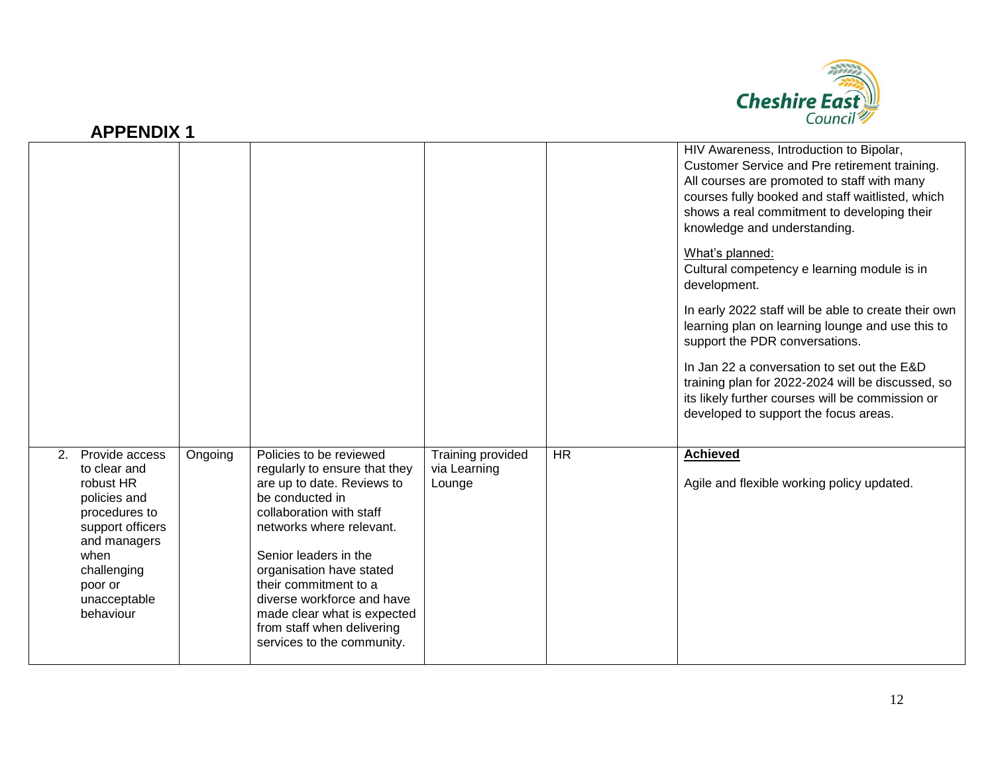

| л і Евріл і                                                                                                                                                                           |         |                                                                                                                                                                                                                                                                                                                                                                          |                                             |           |                                                                                                                                                                                                                                                                                                                                                                                                                                                                                                                                                                                                                                                                                                             |
|---------------------------------------------------------------------------------------------------------------------------------------------------------------------------------------|---------|--------------------------------------------------------------------------------------------------------------------------------------------------------------------------------------------------------------------------------------------------------------------------------------------------------------------------------------------------------------------------|---------------------------------------------|-----------|-------------------------------------------------------------------------------------------------------------------------------------------------------------------------------------------------------------------------------------------------------------------------------------------------------------------------------------------------------------------------------------------------------------------------------------------------------------------------------------------------------------------------------------------------------------------------------------------------------------------------------------------------------------------------------------------------------------|
|                                                                                                                                                                                       |         |                                                                                                                                                                                                                                                                                                                                                                          |                                             |           | HIV Awareness, Introduction to Bipolar,<br>Customer Service and Pre retirement training.<br>All courses are promoted to staff with many<br>courses fully booked and staff waitlisted, which<br>shows a real commitment to developing their<br>knowledge and understanding.<br>What's planned:<br>Cultural competency e learning module is in<br>development.<br>In early 2022 staff will be able to create their own<br>learning plan on learning lounge and use this to<br>support the PDR conversations.<br>In Jan 22 a conversation to set out the E&D<br>training plan for 2022-2024 will be discussed, so<br>its likely further courses will be commission or<br>developed to support the focus areas. |
| Provide access<br>2.<br>to clear and<br>robust HR<br>policies and<br>procedures to<br>support officers<br>and managers<br>when<br>challenging<br>poor or<br>unacceptable<br>behaviour | Ongoing | Policies to be reviewed<br>regularly to ensure that they<br>are up to date. Reviews to<br>be conducted in<br>collaboration with staff<br>networks where relevant.<br>Senior leaders in the<br>organisation have stated<br>their commitment to a<br>diverse workforce and have<br>made clear what is expected<br>from staff when delivering<br>services to the community. | Training provided<br>via Learning<br>Lounge | <b>HR</b> | <b>Achieved</b><br>Agile and flexible working policy updated.                                                                                                                                                                                                                                                                                                                                                                                                                                                                                                                                                                                                                                               |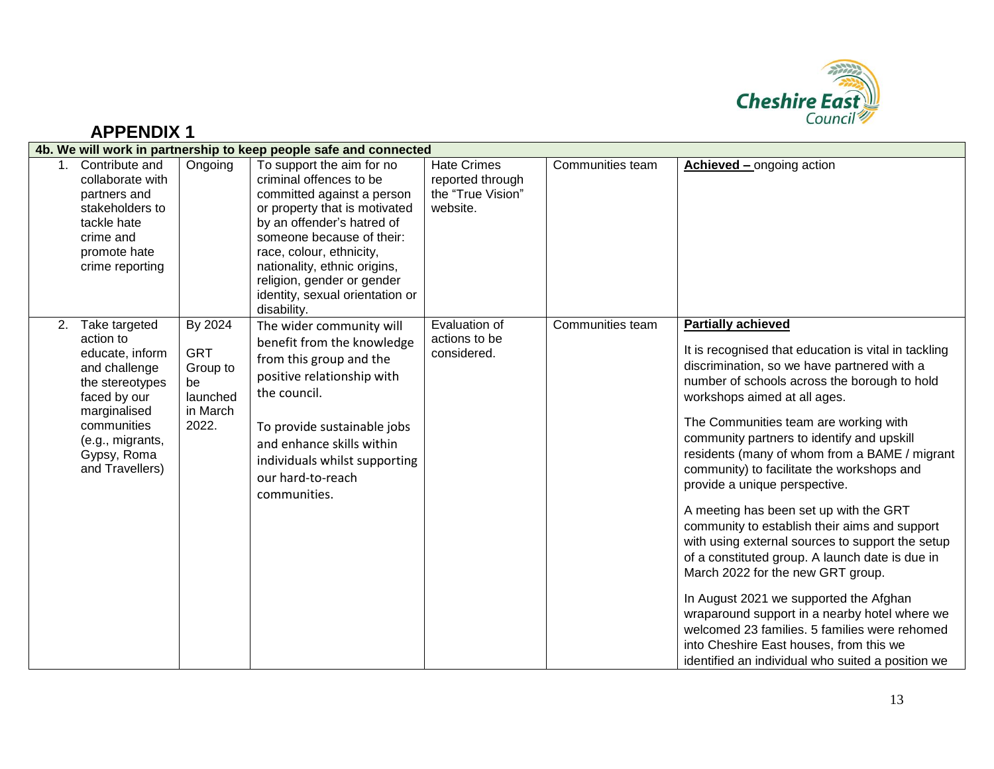

| 4b. We will work in partnership to keep people safe and connected |                                                                                                                                                                                        |                                                                          |                                                                                                                                                                                                                                                                                                                            |                                                                         |                  |                                                                                                                                                                                                                                                                                                                                                                                                                                                                                                                                                                                                                                                                                                                                                                                                                                                                                                                            |  |
|-------------------------------------------------------------------|----------------------------------------------------------------------------------------------------------------------------------------------------------------------------------------|--------------------------------------------------------------------------|----------------------------------------------------------------------------------------------------------------------------------------------------------------------------------------------------------------------------------------------------------------------------------------------------------------------------|-------------------------------------------------------------------------|------------------|----------------------------------------------------------------------------------------------------------------------------------------------------------------------------------------------------------------------------------------------------------------------------------------------------------------------------------------------------------------------------------------------------------------------------------------------------------------------------------------------------------------------------------------------------------------------------------------------------------------------------------------------------------------------------------------------------------------------------------------------------------------------------------------------------------------------------------------------------------------------------------------------------------------------------|--|
|                                                                   | 1. Contribute and<br>collaborate with<br>partners and<br>stakeholders to<br>tackle hate<br>crime and<br>promote hate<br>crime reporting                                                | Ongoing                                                                  | To support the aim for no<br>criminal offences to be<br>committed against a person<br>or property that is motivated<br>by an offender's hatred of<br>someone because of their:<br>race, colour, ethnicity,<br>nationality, ethnic origins,<br>religion, gender or gender<br>identity, sexual orientation or<br>disability. | <b>Hate Crimes</b><br>reported through<br>the "True Vision"<br>website. | Communities team | <b>Achieved – ongoing action</b>                                                                                                                                                                                                                                                                                                                                                                                                                                                                                                                                                                                                                                                                                                                                                                                                                                                                                           |  |
| 2.                                                                | Take targeted<br>action to<br>educate, inform<br>and challenge<br>the stereotypes<br>faced by our<br>marginalised<br>communities<br>(e.g., migrants,<br>Gypsy, Roma<br>and Travellers) | By 2024<br><b>GRT</b><br>Group to<br>be<br>launched<br>in March<br>2022. | The wider community will<br>benefit from the knowledge<br>from this group and the<br>positive relationship with<br>the council.<br>To provide sustainable jobs<br>and enhance skills within<br>individuals whilst supporting<br>our hard-to-reach<br>communities.                                                          | Evaluation of<br>actions to be<br>considered.                           | Communities team | <b>Partially achieved</b><br>It is recognised that education is vital in tackling<br>discrimination, so we have partnered with a<br>number of schools across the borough to hold<br>workshops aimed at all ages.<br>The Communities team are working with<br>community partners to identify and upskill<br>residents (many of whom from a BAME / migrant<br>community) to facilitate the workshops and<br>provide a unique perspective.<br>A meeting has been set up with the GRT<br>community to establish their aims and support<br>with using external sources to support the setup<br>of a constituted group. A launch date is due in<br>March 2022 for the new GRT group.<br>In August 2021 we supported the Afghan<br>wraparound support in a nearby hotel where we<br>welcomed 23 families. 5 families were rehomed<br>into Cheshire East houses, from this we<br>identified an individual who suited a position we |  |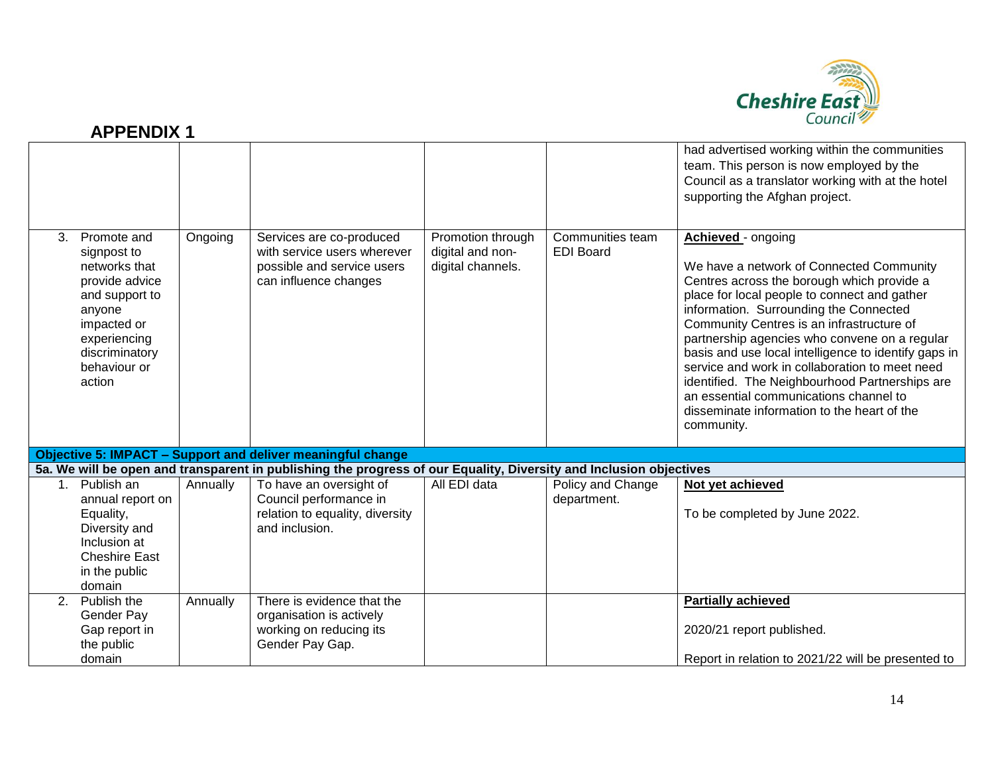

|                |                                                                                                                                                                      |          |                                                                                                                    |                                                            |                                      | had advertised working within the communities<br>team. This person is now employed by the<br>Council as a translator working with at the hotel<br>supporting the Afghan project.                                                                                                                                                                                                                                                                                                                                                                                        |
|----------------|----------------------------------------------------------------------------------------------------------------------------------------------------------------------|----------|--------------------------------------------------------------------------------------------------------------------|------------------------------------------------------------|--------------------------------------|-------------------------------------------------------------------------------------------------------------------------------------------------------------------------------------------------------------------------------------------------------------------------------------------------------------------------------------------------------------------------------------------------------------------------------------------------------------------------------------------------------------------------------------------------------------------------|
| 3.             | Promote and<br>signpost to<br>networks that<br>provide advice<br>and support to<br>anyone<br>impacted or<br>experiencing<br>discriminatory<br>behaviour or<br>action | Ongoing  | Services are co-produced<br>with service users wherever<br>possible and service users<br>can influence changes     | Promotion through<br>digital and non-<br>digital channels. | Communities team<br><b>EDI Board</b> | Achieved - ongoing<br>We have a network of Connected Community<br>Centres across the borough which provide a<br>place for local people to connect and gather<br>information. Surrounding the Connected<br>Community Centres is an infrastructure of<br>partnership agencies who convene on a regular<br>basis and use local intelligence to identify gaps in<br>service and work in collaboration to meet need<br>identified. The Neighbourhood Partnerships are<br>an essential communications channel to<br>disseminate information to the heart of the<br>community. |
|                |                                                                                                                                                                      |          | <b>Objective 5: IMPACT - Support and deliver meaningful change</b>                                                 |                                                            |                                      |                                                                                                                                                                                                                                                                                                                                                                                                                                                                                                                                                                         |
|                |                                                                                                                                                                      |          | 5a. We will be open and transparent in publishing the progress of our Equality, Diversity and Inclusion objectives |                                                            |                                      |                                                                                                                                                                                                                                                                                                                                                                                                                                                                                                                                                                         |
| 1 <sub>1</sub> | Publish an<br>annual report on<br>Equality,<br>Diversity and<br>Inclusion at<br><b>Cheshire East</b><br>in the public<br>domain                                      | Annually | To have an oversight of<br>Council performance in<br>relation to equality, diversity<br>and inclusion.             | All EDI data                                               | Policy and Change<br>department.     | Not yet achieved<br>To be completed by June 2022.                                                                                                                                                                                                                                                                                                                                                                                                                                                                                                                       |
| 2 <sub>1</sub> | Publish the<br>Gender Pay<br>Gap report in<br>the public<br>domain                                                                                                   | Annually | There is evidence that the<br>organisation is actively<br>working on reducing its<br>Gender Pay Gap.               |                                                            |                                      | <b>Partially achieved</b><br>2020/21 report published.<br>Report in relation to 2021/22 will be presented to                                                                                                                                                                                                                                                                                                                                                                                                                                                            |